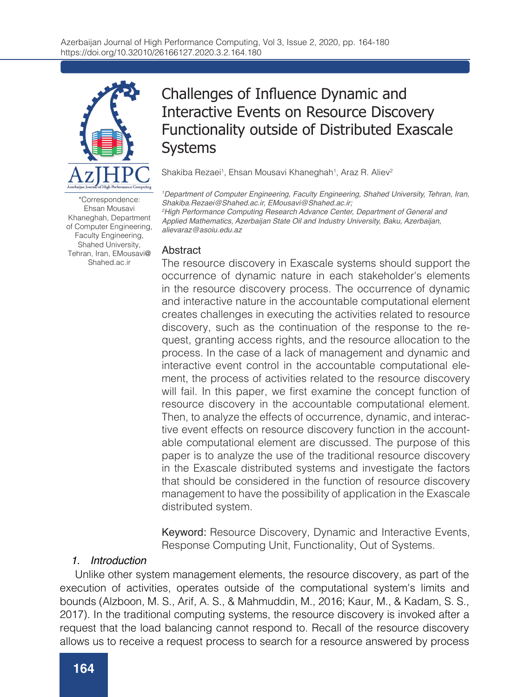

\*Correspondence: Ehsan Mousavi Khaneghah, Department of Computer Engineering, Faculty Engineering, Shahed University, Tehran, Iran, EMousavi@ Shahed.ac.ir

# Challenges of Influence Dynamic and Interactive Events on Resource Discovery Functionality outside of Distributed Exascale Systems

Shakiba Rezaei<sup>1</sup>, Ehsan Mousavi Khaneghah<sup>1</sup>, Araz R. Aliev<sup>2</sup>

*1 Department of Computer Engineering, Faculty Engineering, Shahed University, Tehran, Iran, Shakiba.Rezaei@Shahed.ac.ir, EMousavi@Shahed.ac.ir; 2 High Performance Computing Research Advance Center, Department of General and Applied Mathematics, Azerbaijan State Oil and Industry University, Baku, Azerbaijan, alievaraz@asoiu.edu.az*

#### Abstract

The resource discovery in Exascale systems should support the occurrence of dynamic nature in each stakeholder's elements in the resource discovery process. The occurrence of dynamic and interactive nature in the accountable computational element creates challenges in executing the activities related to resource discovery, such as the continuation of the response to the request, granting access rights, and the resource allocation to the process. In the case of a lack of management and dynamic and interactive event control in the accountable computational element, the process of activities related to the resource discovery will fail. In this paper, we first examine the concept function of resource discovery in the accountable computational element. Then, to analyze the effects of occurrence, dynamic, and interactive event effects on resource discovery function in the accountable computational element are discussed. The purpose of this paper is to analyze the use of the traditional resource discovery in the Exascale distributed systems and investigate the factors that should be considered in the function of resource discovery management to have the possibility of application in the Exascale distributed system.

Keyword: Resource Discovery, Dynamic and Interactive Events, Response Computing Unit, Functionality, Out of Systems.

# *1. Introduction*

Unlike other system management elements, the resource discovery, as part of the execution of activities, operates outside of the computational system's limits and bounds (Alzboon, M. S., Arif, A. S., & Mahmuddin, M., 2016; Kaur, M., & Kadam, S. S., 2017). In the traditional computing systems, the resource discovery is invoked after a request that the load balancing cannot respond to. Recall of the resource discovery allows us to receive a request process to search for a resource answered by process

application (Jamal, A. A., & Teahan, W. J., 2017; Zarrin, J., 2017; Zarrin, J., Aguiar, R. L., & Barraca, J.,

established response structures or lack of structure, action search resources where request (Jamal, A. A., & Teahan, W. J., 2017; Nickbakhsh, N., & Aghaei, M. R. S., 2017).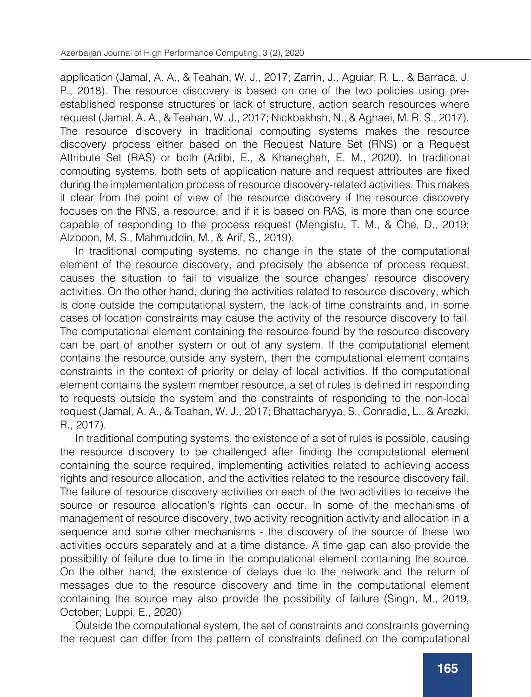application (Jamal, A. A., & Teahan, W. J., 2017; Zarrin, J., Aguiar, R. L., & Barraca, J. P., 2018). The resource discovery is based on one of the two policies using preestablished response structures or lack of structure, action search resources where request (Jamal, A. A., & Teahan, W. J., 2017; Nickbakhsh, N., & Aghaei, M. R. S., 2017). The resource discovery in traditional computing systems makes the resource discovery process either based on the Request Nature Set (RNS) or a Request Attribute Set (RAS) or both (Adibi, E., & Khaneghah, E. M., 2020). In traditional computing systems, both sets of application nature and request attributes are fixed during the implementation process of resource discovery-related activities. This makes it clear from the point of view of the resource discovery if the resource discovery focuses on the RNS, a resource, and if it is based on RAS, is more than one source capable of responding to the process request (Mengistu, T. M., & Che, D., 2019; Alzboon, M. S., Mahmuddin, M., & Arif, S., 2019).

allows us to receive a request process to receive a regular for a resource answered by process to search for a

In traditional computing systems, no change in the state of the computational element of the resource discovery, and precisely the absence of process request, causes the situation to fail to visualize the source changes' resource discovery activities. On the other hand, during the activities related to resource discovery, which is done outside the computational system, the lack of time constraints and, in some cases of location constraints may cause the activity of the resource discovery to fail. The computational element containing the resource found by the resource discovery can be part of another system or out of any system. If the computational element contains the resource outside any system, then the computational element contains constraints in the context of priority or delay of local activities. If the computational element contains the system member resource, a set of rules is defined in responding to requests outside the system and the constraints of responding to the non-local request (Jamal, A. A., & Teahan, W. J., 2017; Bhattacharyya, S., Conradie, L., & Arezki, R., 2017).

In traditional computing systems, the existence of a set of rules is possible, causing the resource discovery to be challenged after finding the computational element containing the source required, implementing activities related to achieving access rights and resource allocation, and the activities related to the resource discovery fail. The failure of resource discovery activities on each of the two activities to receive the source or resource allocation's rights can occur. In some of the mechanisms of management of resource discovery, two activity recognition activity and allocation in a sequence and some other mechanisms - the discovery of the source of these two activities occurs separately and at a time distance. A time gap can also provide the possibility of failure due to time in the computational element containing the source. On the other hand, the existence of delays due to the network and the return of messages due to the resource discovery and time in the computational element containing the source may also provide the possibility of failure (Singh, M., 2019, October; Luppi, E., 2020)

Outside the computational system, the set of constraints and constraints governing the request can differ from the pattern of constraints defined on the computational system's request. This may result in some differences in request and response

the computational system. The resource discovery is activated within the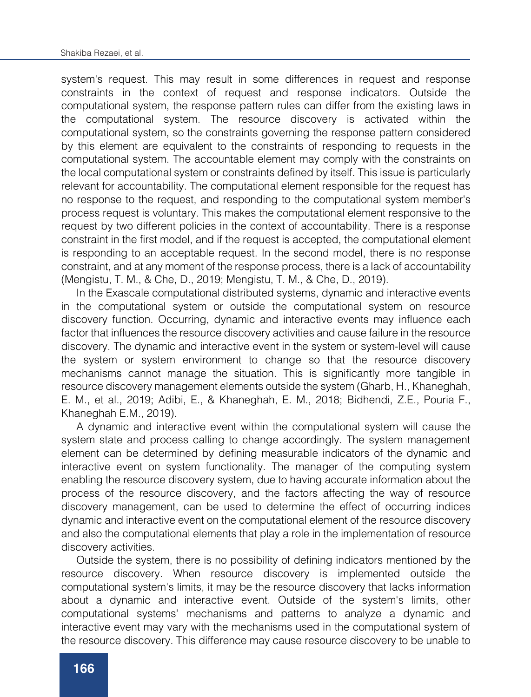system's request. This may result in some differences in request and response constraints in the context of request and response indicators. Outside the computational system, the response pattern rules can differ from the existing laws in the computational system. The resource discovery is activated within the computational system, so the constraints governing the response pattern considered by this element are equivalent to the constraints of responding to requests in the computational system. The accountable element may comply with the constraints on the local computational system or constraints defined by itself. This issue is particularly relevant for accountability. The computational element responsible for the request has no response to the request, and responding to the computational system member's process request is voluntary. This makes the computational element responsive to the request by two different policies in the context of accountability. There is a response constraint in the first model, and if the request is accepted, the computational element is responding to an acceptable request. In the second model, there is no response constraint, and at any moment of the response process, there is a lack of accountability (Mengistu, T. M., & Che, D., 2019; Mengistu, T. M., & Che, D., 2019).

the request can differ from the pattern of constraints defined on the computation of computational on the computational on the computational on the computational on the computational on the computational on the computatio

In the Exascale computational distributed systems, dynamic and interactive events in the computational system or outside the computational system on resource discovery function. Occurring, dynamic and interactive events may influence each factor that influences the resource discovery activities and cause failure in the resource discovery. The dynamic and interactive event in the system or system-level will cause the system or system environment to change so that the resource discovery mechanisms cannot manage the situation. This is significantly more tangible in resource discovery management elements outside the system (Gharb, H., Khaneghah, E. M., et al., 2019; Adibi, E., & Khaneghah, E. M., 2018; Bidhendi, Z.E., Pouria F., Khaneghah E.M., 2019).

A dynamic and interactive event within the computational system will cause the system state and process calling to change accordingly. The system management element can be determined by defining measurable indicators of the dynamic and interactive event on system functionality. The manager of the computing system enabling the resource discovery system, due to having accurate information about the process of the resource discovery, and the factors affecting the way of resource discovery management, can be used to determine the effect of occurring indices dynamic and interactive event on the computational element of the resource discovery and also the computational elements that play a role in the implementation of resource discovery activities.

Outside the system, there is no possibility of defining indicators mentioned by the resource discovery. When resource discovery is implemented outside the computational system's limits, it may be the resource discovery that lacks information about a dynamic and interactive event. Outside of the system's limits, other computational systems' mechanisms and patterns to analyze a dynamic and interactive event may vary with the mechanisms used in the computational system of the resource discovery. This difference may cause resource discovery to be unable to

detect the dynamic and interactive effects outside of the system's boundaries

In this paper, while analyzing the concept of resource discovery failure outside of the computational system, investigating and analyzing the effect of dynamic and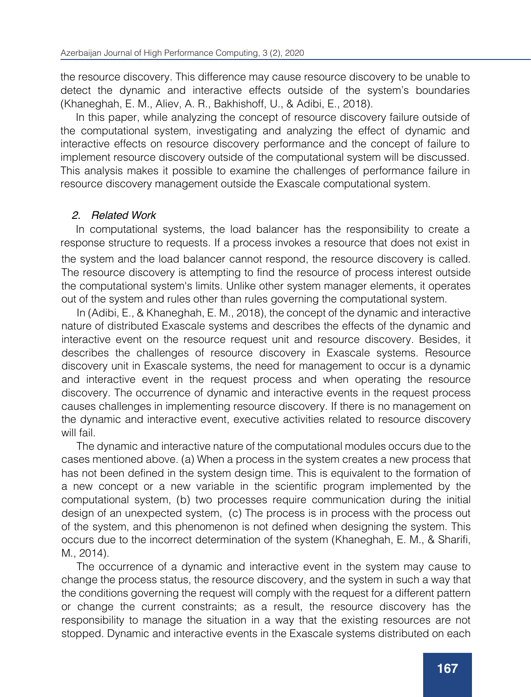the resource discovery. This difference may cause resource discovery to be unable to detect the dynamic and interactive effects outside of the system's boundaries (Khaneghah, E. M., Aliev, A. R., Bakhishoff, U., & Adibi, E., 2018).

interactive event may vary with the mechanisms used in the computational system of

In this paper, while analyzing the concept of resource discovery failure outside of the computational system, investigating and analyzing the effect of dynamic and interactive effects on resource discovery performance and the concept of failure to implement resource discovery outside of the computational system will be discussed. This analysis makes it possible to examine the challenges of performance failure in resource discovery management outside the Exascale computational system.

# *2. Related Work*

In computational systems, the load balancer has the responsibility to create a response structure to requests. If a process invokes a resource that does not exist in the system and the load balancer cannot respond, the resource discovery is called. The resource discovery is attempting to find the resource of process interest outside the computational system's limits. Unlike other system manager elements, it operates out of the system and rules other than rules governing the computational system.

In (Adibi, E., & Khaneghah, E. M., 2018), the concept of the dynamic and interactive nature of distributed Exascale systems and describes the effects of the dynamic and interactive event on the resource request unit and resource discovery. Besides, it describes the challenges of resource discovery in Exascale systems. Resource discovery unit in Exascale systems, the need for management to occur is a dynamic and interactive event in the request process and when operating the resource discovery. The occurrence of dynamic and interactive events in the request process causes challenges in implementing resource discovery. If there is no management on the dynamic and interactive event, executive activities related to resource discovery will fail.

The dynamic and interactive nature of the computational modules occurs due to the cases mentioned above. (a) When a process in the system creates a new process that has not been defined in the system design time. This is equivalent to the formation of a new concept or a new variable in the scientific program implemented by the computational system, (b) two processes require communication during the initial design of an unexpected system, (c) The process is in process with the process out of the system, and this phenomenon is not defined when designing the system. This occurs due to the incorrect determination of the system (Khaneghah, E. M., & Sharifi, M., 2014).

The occurrence of a dynamic and interactive event in the system may cause to change the process status, the resource discovery, and the system in such a way that the conditions governing the request will comply with the request for a different pattern or change the current constraints; as a result, the resource discovery has the responsibility to manage the situation in a way that the existing resources are not stopped. Dynamic and interactive events in the Exascale systems distributed on each

of the factors affecting the resource discovery function can be effective. On the other

The effect of the dynamic and interactive nature on the resource discovery is that View influence where due to the occurrence of dynamic and interactive nature may be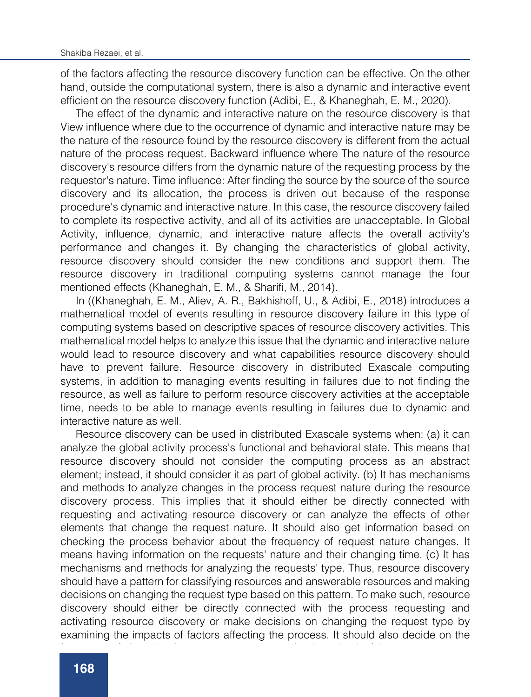of the factors affecting the resource discovery function can be effective. On the other hand, outside the computational system, there is also a dynamic and interactive event efficient on the resource discovery function (Adibi, E., & Khaneghah, E. M., 2020).

The effect of the dynamic and interactive nature on the resource discovery is that View influence where due to the occurrence of dynamic and interactive nature may be the nature of the resource found by the resource discovery is different from the actual nature of the process request. Backward influence where The nature of the resource discovery's resource differs from the dynamic nature of the requesting process by the requestor's nature. Time influence: After finding the source by the source of the source discovery and its allocation, the process is driven out because of the response procedure's dynamic and interactive nature. In this case, the resource discovery failed to complete its respective activity, and all of its activities are unacceptable. In Global Activity, influence, dynamic, and interactive nature affects the overall activity's performance and changes it. By changing the characteristics of global activity, resource discovery should consider the new conditions and support them. The resource discovery in traditional computing systems cannot manage the four mentioned effects (Khaneghah, E. M., & Sharifi, M., 2014).

In ((Khaneghah, E. M., Aliev, A. R., Bakhishoff, U., & Adibi, E., 2018) introduces a mathematical model of events resulting in resource discovery failure in this type of computing systems based on descriptive spaces of resource discovery activities. This mathematical model helps to analyze this issue that the dynamic and interactive nature would lead to resource discovery and what capabilities resource discovery should have to prevent failure. Resource discovery in distributed Exascale computing systems, in addition to managing events resulting in failures due to not finding the resource, as well as failure to perform resource discovery activities at the acceptable time, needs to be able to manage events resulting in failures due to dynamic and interactive nature as well.

Resource discovery can be used in distributed Exascale systems when: (a) it can analyze the global activity process's functional and behavioral state. This means that resource discovery should not consider the computing process as an abstract element; instead, it should consider it as part of global activity. (b) It has mechanisms and methods to analyze changes in the process request nature during the resource discovery process. This implies that it should either be directly connected with requesting and activating resource discovery or can analyze the effects of other elements that change the request nature. It should also get information based on checking the process behavior about the frequency of request nature changes. It means having information on the requests' nature and their changing time. (c) It has mechanisms and methods for analyzing the requests' type. Thus, resource discovery should have a pattern for classifying resources and answerable resources and making decisions on changing the request type based on this pattern. To make such, resource discovery should either be directly connected with the process requesting and activating resource discovery or make decisions on changing the request type by examining the impacts of factors affecting the process. It should also decide on the

frequency of changing the process request type by time check of the process.

resource discovery activities, and occurring, can lead to resource discovery activity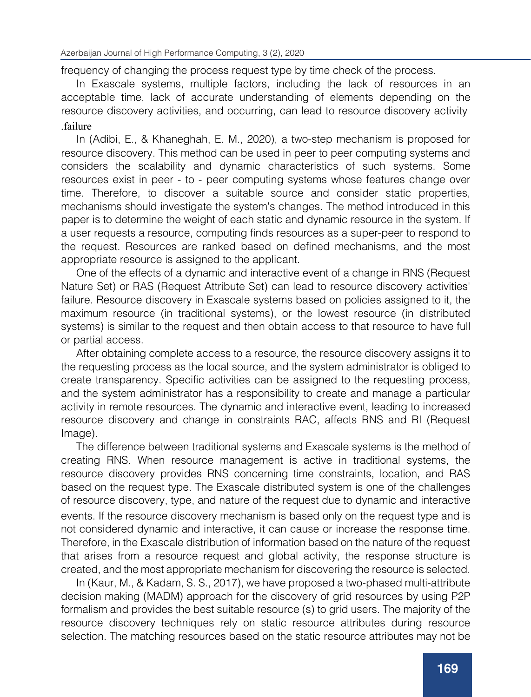frequency of changing the process request type by time check of the process.

In Exascale systems, multiple factors, including the lack of resources in an acceptable time, lack of accurate understanding of elements depending on the resource discovery activities, and occurring, can lead to resource discovery activity .failure

In (Adibi, E., & Khaneghah, E. M., 2020), a two-step mechanism is proposed for resource discovery. This method can be used in peer to peer computing systems and considers the scalability and dynamic characteristics of such systems. Some resources exist in peer - to - peer computing systems whose features change over time. Therefore, to discover a suitable source and consider static properties, mechanisms should investigate the system's changes. The method introduced in this paper is to determine the weight of each static and dynamic resource in the system. If a user requests a resource, computing finds resources as a super-peer to respond to the request. Resources are ranked based on defined mechanisms, and the most appropriate resource is assigned to the applicant.

One of the effects of a dynamic and interactive event of a change in RNS (Request Nature Set) or RAS (Request Attribute Set) can lead to resource discovery activities' failure. Resource discovery in Exascale systems based on policies assigned to it, the maximum resource (in traditional systems), or the lowest resource (in distributed systems) is similar to the request and then obtain access to that resource to have full or partial access.

After obtaining complete access to a resource, the resource discovery assigns it to the requesting process as the local source, and the system administrator is obliged to create transparency. Specific activities can be assigned to the requesting process, and the system administrator has a responsibility to create and manage a particular activity in remote resources. The dynamic and interactive event, leading to increased resource discovery and change in constraints RAC, affects RNS and RI (Request Image).

The difference between traditional systems and Exascale systems is the method of creating RNS. When resource management is active in traditional systems, the resource discovery provides RNS concerning time constraints, location, and RAS based on the request type. The Exascale distributed system is one of the challenges of resource discovery, type, and nature of the request due to dynamic and interactive events. If the resource discovery mechanism is based only on the request type and is not considered dynamic and interactive, it can cause or increase the response time. Therefore, in the Exascale distribution of information based on the nature of the request that arises from a resource request and global activity, the response structure is created, and the most appropriate mechanism for discovering the resource is selected.

In (Kaur, M., & Kadam, S. S., 2017), we have proposed a two-phased multi-attribute decision making (MADM) approach for the discovery of grid resources by using P2P formalism and provides the best suitable resource (s) to grid users. The majority of the resource discovery techniques rely on static resource attributes during resource selection. The matching resources based on the static resource attributes may not be

the most appropriate resources for user applications' execution because they may

applies the SAW method to shortlist the top-ranked resources communicated to the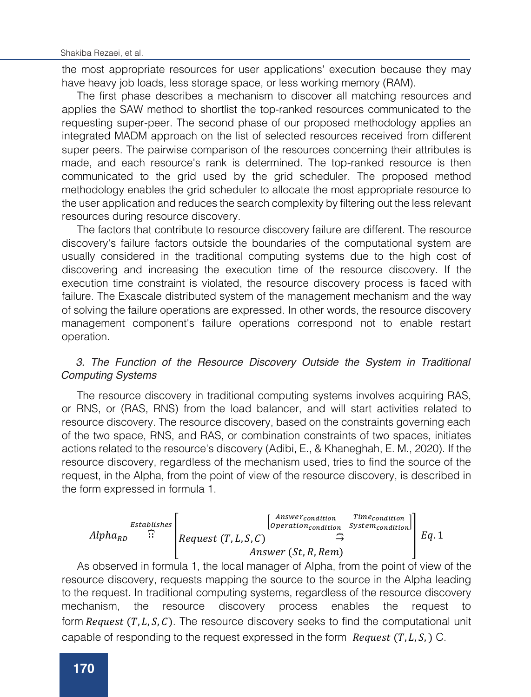the most appropriate resources for user applications' execution because they may have heavy job loads, less storage space, or less working memory (RAM).

The first phase describes a mechanism to discover all matching resources and applies the SAW method to shortlist the top-ranked resources communicated to the requesting super-peer. The second phase of our proposed methodology applies an integrated MADM approach on the list of selected resources received from different super peers. The pairwise comparison of the resources concerning their attributes is made, and each resource's rank is determined. The top-ranked resource is then communicated to the grid used by the grid scheduler. The proposed method methodology enables the grid scheduler to allocate the most appropriate resource to the user application and reduces the search complexity by filtering out the less relevant resources during resource discovery.

The factors that contribute to resource discovery failure are different. The resource discovery's failure factors outside the boundaries of the computational system are usually considered in the traditional computing systems due to the high cost of discovering and increasing the execution time of the resource discovery. If the execution time constraint is violated, the resource discovery process is faced with failure. The Exascale distributed system of the management mechanism and the way of solving the failure operations are expressed. In other words, the resource discovery management component's failure operations correspond not to enable restart operation.

# 3. The Function of the Resource Discovery Outside the System in Traditional *systems Computing Systems*

The resource discovery in traditional computing systems involves acquiring RAS, or RNS, or (RAS, RNS) from the load balancer, and will start activities related to resource discovery. The resource discovery, based on the constraints governing each of the two space, RNS, and RAS, or combination constraints of two spaces, initiates actions related to the resource's discovery (Adibi, E., & Khaneghah, E. M., 2020). If the resource discovery, regardless of the mechanism used, tries to find the source of the request, in the Alpha, from the point of view of the resource discovery, is described in the form expressed in formula 1.



As observed in formula 1, the local manager of Alpha, from the point of view of the resource discovery, requests mapping the source to the source in the Alpha leading to the request. In traditional computing systems, regardless of the resource discovery mechanism, the resource discovery process enables the request form  $Request(T, L, S, C)$ . The resource discovery seeks to find the computational unit capable of responding to the request expressed in the form  $\textit{Request}(T, L, S, )$  C.

The process request of the resource discovery is a variable of time constraints,

discovery sends a process request to the local manager of any external computational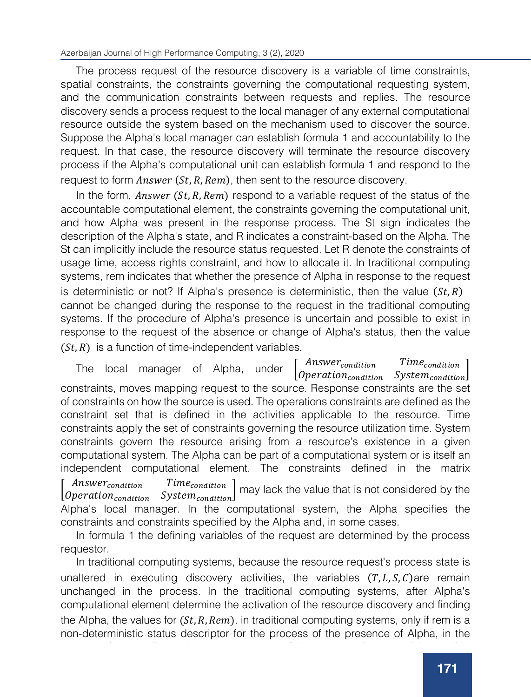The process request of the resource discovery is a variable of time constraints, spatial constraints, the constraints governing the computational requesting system, and the communication constraints between requests and replies. The resource discovery sends a process request to the local manager of any external computational resource outside the system based on the mechanism used to discover the source. Suppose the Alpha's local manager can establish formula 1 and accountability to the request. In that case, the resource discovery will terminate the resource discovery process if the Alpha's computational unit can establish formula 1 and respond to the request to form  $Answer(St, R, Rem)$ , then sent to the resource discovery.

In the form, *Answer*  $(St, R, Rem)$  respond to a variable request of the status of the accountable computational element, the constraints governing the computational unit, and how Alpha was present in the response process. The St sign indicates the description of the Alpha's state, and R indicates a constraint-based on the Alpha. The St can implicitly include the resource status requested. Let R denote the constraints of usage time, access rights constraint, and how to allocate it. In traditional computing systems, rem indicates that whether the presence of Alpha in response to the request is deterministic or not? If Alpha's presence is deterministic, then the value  $(St, R)$ cannot be changed during the response to the request in the traditional computing systems. If the procedure of Alpha's presence is uncertain and possible to exist in response to the request of the absence or change of Alpha's status, then the value  $(St, R)$  is a function of time-independent variables.

The local manager of Alpha, under  $\begin{bmatrix} Answer_{condition} & Time_{condition} \\ّ \end{bmatrix}$  $\emph{Operation}$  System $_{condition}$ constraints, moves mapping request to the source. Response constraints are the set of constraints on how the source is used. The operations constraints are defined as the constraint set that is defined in the activities applicable to the resource. Time constraints apply the set of constraints governing the resource utilization time. System constraints govern the resource arising from a resource's existence in a given computational system. The Alpha can be part of a computational system or is itself an independent computational element. The constraints defined in the matrix

*Answer<sub>condition Time<sub>condition</sub>*<br>*Operation<sub>condition System<sub>condition*</sub></sub></sub>  $Time_{condition}$  may lack the value that is not considered by the

Alpha's local manager. In the computational system, the Alpha specifies the constraints and constraints specified by the Alpha and, in some cases.

In formula 1 the defining variables of the request are determined by the process requestor.

In traditional computing systems, because the resource request's process state is unaltered in executing discovery activities, the variables  $(T, L, S, C)$ are remain unchanged in the process. In the traditional computing systems, after Alpha's computational element determine the activation of the resource discovery and finding the Alpha, the values for  $(St, R, Rem)$ . in traditional computing systems, only if rem is a non-deterministic status descriptor for the process of the presence of Alpha, in the

process of responding to the process request of the resource discovery, it is possible

In traditional computing systems such as peer-to-peer and grid computing systems,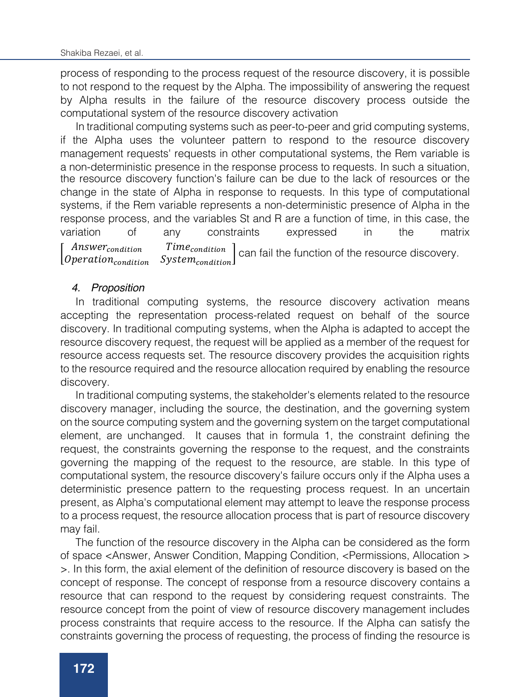process of responding to the process request of the resource discovery, it is possible to not respond to the request by the Alpha. The impossibility of answering the request by Alpha results in the failure of the resource discovery process outside the computational system of the resource discovery activation

In traditional computing systems such as peer-to-peer and grid computing systems, if the Alpha uses the volunteer pattern to respond to the resource discovery management requests' requests in other computational systems, the Rem variable is a non-deterministic presence in the response process to requests. In such a situation, the resource discovery function's failure can be due to the lack of resources or the change in the state of Alpha in response to requests. In this type of computational systems, if the Rem variable represents a non-deterministic presence of Alpha in the response process, and the variables St and R are a function of time, in this case, the variation of any constraints expressed in the matrix *Answer<sub>condition Time<sub>condition</sub>*<br>*Operation<sub>condition System<sub>condition*</sub></sub></sub>  $Time_{condition}$  can fail the function of the resource discovery.

#### *4. Proposition*

In traditional computing systems, the resource discovery activation means accepting the representation process-related request on behalf of the source discovery. In traditional computing systems, when the Alpha is adapted to accept the resource discovery request, the request will be applied as a member of the request for resource access requests set. The resource discovery provides the acquisition rights to the resource required and the resource allocation required by enabling the resource discovery.

In traditional computing systems, the stakeholder's elements related to the resource discovery manager, including the source, the destination, and the governing system on the source computing system and the governing system on the target computational element, are unchanged. It causes that in formula 1, the constraint defining the request, the constraints governing the response to the request, and the constraints governing the mapping of the request to the resource, are stable. In this type of computational system, the resource discovery's failure occurs only if the Alpha uses a deterministic presence pattern to the requesting process request. In an uncertain present, as Alpha's computational element may attempt to leave the response process to a process request, the resource allocation process that is part of resource discovery may fail.

The function of the resource discovery in the Alpha can be considered as the form of space <Answer, Answer Condition, Mapping Condition, <Permissions, Allocation > >. In this form, the axial element of the definition of resource discovery is based on the concept of response. The concept of response from a resource discovery contains a resource that can respond to the request by considering request constraints. The resource concept from the point of view of resource discovery management includes process constraints that require access to the resource. If the Alpha can satisfy the constraints governing the process of requesting, the process of finding the resource is

management is based on the mechanism used, to investigate each candidate's

terminated and the process of access and allocation starts.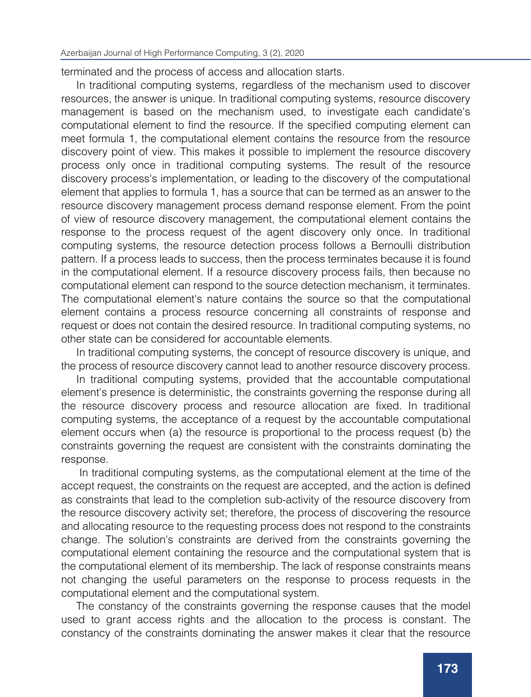terminated and the process of access and allocation starts.

In traditional computing systems, regardless of the mechanism used to discover resources, the answer is unique. In traditional computing systems, resource discovery management is based on the mechanism used, to investigate each candidate's computational element to find the resource. If the specified computing element can meet formula 1, the computational element contains the resource from the resource discovery point of view. This makes it possible to implement the resource discovery process only once in traditional computing systems. The result of the resource discovery process's implementation, or leading to the discovery of the computational element that applies to formula 1, has a source that can be termed as an answer to the resource discovery management process demand response element. From the point of view of resource discovery management, the computational element contains the response to the process request of the agent discovery only once. In traditional computing systems, the resource detection process follows a Bernoulli distribution pattern. If a process leads to success, then the process terminates because it is found in the computational element. If a resource discovery process fails, then because no computational element can respond to the source detection mechanism, it terminates. The computational element's nature contains the source so that the computational element contains a process resource concerning all constraints of response and request or does not contain the desired resource. In traditional computing systems, no other state can be considered for accountable elements.

In traditional computing systems, the concept of resource discovery is unique, and the process of resource discovery cannot lead to another resource discovery process.

In traditional computing systems, provided that the accountable computational element's presence is deterministic, the constraints governing the response during all the resource discovery process and resource allocation are fixed. In traditional computing systems, the acceptance of a request by the accountable computational element occurs when (a) the resource is proportional to the process request (b) the constraints governing the request are consistent with the constraints dominating the response.

In traditional computing systems, as the computational element at the time of the accept request, the constraints on the request are accepted, and the action is defined as constraints that lead to the completion sub-activity of the resource discovery from the resource discovery activity set; therefore, the process of discovering the resource and allocating resource to the requesting process does not respond to the constraints change. The solution's constraints are derived from the constraints governing the computational element containing the resource and the computational system that is the computational element of its membership. The lack of response constraints means not changing the useful parameters on the response to process requests in the computational element and the computational system.

The constancy of the constraints governing the response causes that the model used to grant access rights and the allocation to the process is constant. The constancy of the constraints dominating the answer makes it clear that the resource

view of the resource discovery, means that after each step of the set of discovery activities, and the way of allocation, and the way of allocation, the way of allocation, the way of allocation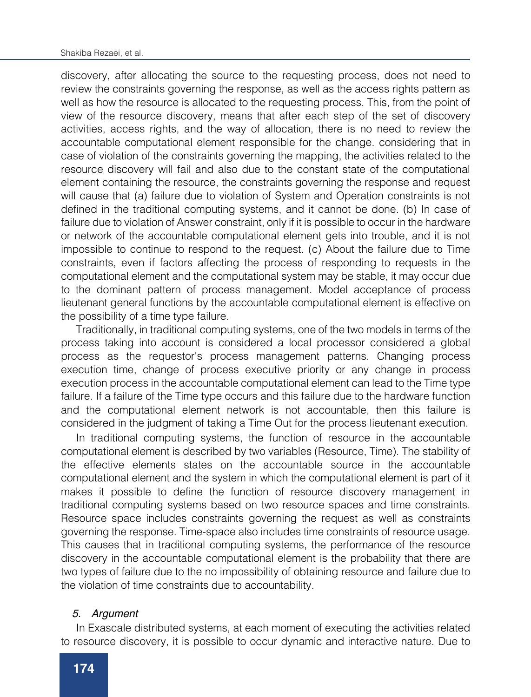discovery, after allocating the source to the requesting process, does not need to review the constraints governing the response, as well as the access rights pattern as well as how the resource is allocated to the requesting process. This, from the point of view of the resource discovery, means that after each step of the set of discovery activities, access rights, and the way of allocation, there is no need to review the accountable computational element responsible for the change. considering that in case of violation of the constraints governing the mapping, the activities related to the resource discovery will fail and also due to the constant state of the computational element containing the resource, the constraints governing the response and request will cause that (a) failure due to violation of System and Operation constraints is not defined in the traditional computing systems, and it cannot be done. (b) In case of failure due to violation of Answer constraint, only if it is possible to occur in the hardware or network of the accountable computational element gets into trouble, and it is not impossible to continue to respond to the request. (c) About the failure due to Time constraints, even if factors affecting the process of responding to requests in the computational element and the computational system may be stable, it may occur due to the dominant pattern of process management. Model acceptance of process lieutenant general functions by the accountable computational element is effective on the possibility of a time type failure.

Traditionally, in traditional computing systems, one of the two models in terms of the process taking into account is considered a local processor considered a global process as the requestor's process management patterns. Changing process execution time, change of process executive priority or any change in process execution process in the accountable computational element can lead to the Time type failure. If a failure of the Time type occurs and this failure due to the hardware function and the computational element network is not accountable, then this failure is considered in the judgment of taking a Time Out for the process lieutenant execution.

In traditional computing systems, the function of resource in the accountable computational element is described by two variables (Resource, Time). The stability of the effective elements states on the accountable source in the accountable computational element and the system in which the computational element is part of it makes it possible to define the function of resource discovery management in traditional computing systems based on two resource spaces and time constraints. Resource space includes constraints governing the request as well as constraints governing the response. Time-space also includes time constraints of resource usage. This causes that in traditional computing systems, the performance of the resource discovery in the accountable computational element is the probability that there are two types of failure due to the no impossibility of obtaining resource and failure due to the violation of time constraints due to accountability.

#### *5. Argument*

In Exascale distributed systems, at each moment of executing the activities related to resource discovery, it is possible to occur dynamic and interactive nature. Due to the limitation of the resource discovery performance, which is part of it in the

dynamic and interactive nature may occur in each of the resource discovery domains. The dynamic and interactive nature of the functional space with the functional space with the computational space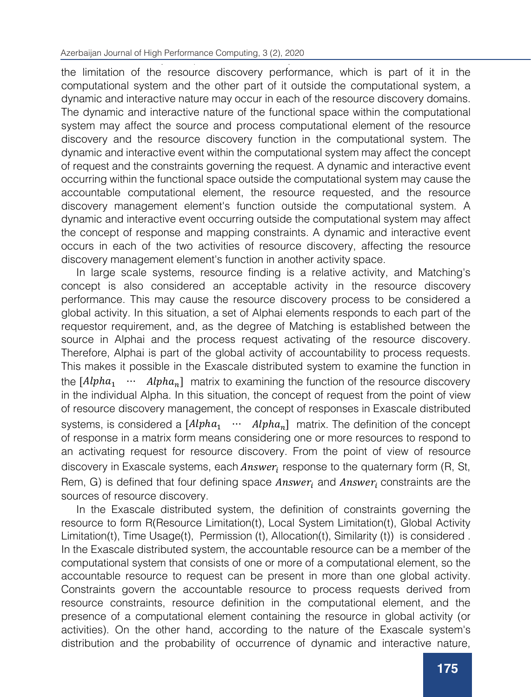the limitation of the resource discovery performance, which is part of it in the computational system and the other part of it outside the computational system, a dynamic and interactive nature may occur in each of the resource discovery domains. The dynamic and interactive nature of the functional space within the computational system may affect the source and process computational element of the resource discovery and the resource discovery function in the computational system. The dynamic and interactive event within the computational system may affect the concept of request and the constraints governing the request. A dynamic and interactive event occurring within the functional space outside the computational system may cause the accountable computational element, the resource requested, and the resource discovery management element's function outside the computational system. A dynamic and interactive event occurring outside the computational system may affect the concept of response and mapping constraints. A dynamic and interactive event occurs in each of the two activities of resource discovery, affecting the resource discovery management element's function in another activity space.

In large scale systems, resource finding is a relative activity, and Matching's concept is also considered an acceptable activity in the resource discovery performance. This may cause the resource discovery process to be considered a global activity. In this situation, a set of Alphai elements responds to each part of the requestor requirement, and, as the degree of Matching is established between the source in Alphai and the process request activating of the resource discovery. Therefore, Alphai is part of the global activity of accountability to process requests. This makes it possible in the Exascale distributed system to examine the function in the  $[Alpha_1 \cdots \text{Alpha}_n]$  matrix to examining the function of the resource discovery in the individual Alpha. In this situation, the concept of request from the point of view of resource discovery management, the concept of responses in Exascale distributed systems, is considered a  $[Alpha_1 \quad \cdots \quad Alpha_n]$  matrix. The definition of the concept of response in a matrix form means considering one or more resources to respond to an activating request for resource discovery. From the point of view of resource discovery in Exascale systems, each  $Answer<sub>i</sub>$  response to the quaternary form (R, St, Rem, G) is defined that four defining space  $Answer<sub>i</sub>$  and  $Answer<sub>i</sub>$  constraints are the sources of resource discovery.

In the Exascale distributed system, the definition of constraints governing the resource to form R(Resource Limitation(t), Local System Limitation(t), Global Activity Limitation(t), Time Usage(t), Permission (t), Allocation(t), Similarity (t)) is considered . In the Exascale distributed system, the accountable resource can be a member of the computational system that consists of one or more of a computational element, so the accountable resource to request can be present in more than one global activity. Constraints govern the accountable resource to process requests derived from resource constraints, resource definition in the computational element, and the presence of a computational element containing the resource in global activity (or activities). On the other hand, according to the nature of the Exascale system's distribution and the probability of occurrence of dynamic and interactive nature,

rights, and allocation constraints that are variable of time-independent variable, the concept of similarity to process request resource are considered a of a time-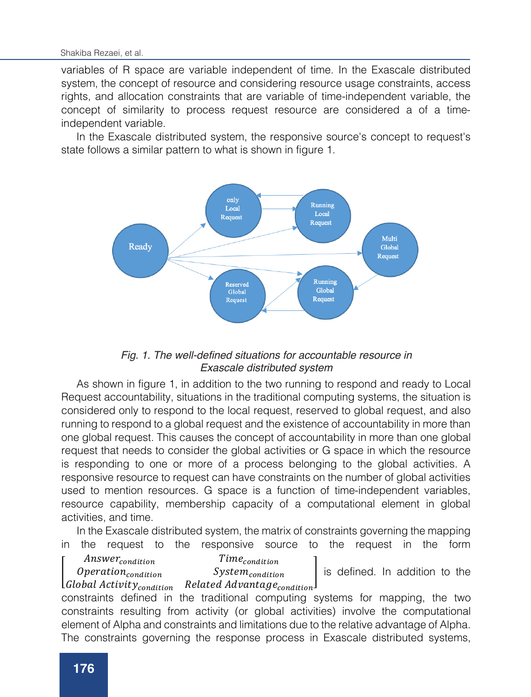variables of R space are variable independent of time. In the Exascale distributed system, the concept of resource and considering resource usage constraints, access<br>rights, and ellecation constraints that are veriable of time independent veriable, the rights, and allocation constraints that are variable of time-independent variable, the rights, and allocation constraints that are variable of three independent variable; the concept of similarity to process request resource are considered a of a timeconcept of similarity to processed

ependem vanabie.<br>In the Exascale distributed system, the responsive source's concept to request's responsive source to form and the form R(Resource System Limitation Council), and the follows a similar pattern to what is shown in figure 1.  $\sigma$  determined usually performance where the original managements.



#### Fig. 1. The well-defined situations for accountable resource in 95.:)%)5. *Exascale distributed system*  $\varepsilon$  is defined. In addition to the theorem to the theorem  $\varepsilon$

As shown in figure 1, in addition to the two running to respond and ready to Local constraints defined in the traditional computing systems for mapping, the two Request accountability, situations in the traditional computing systems, the situation is considered only to respond to the local request, reserved to global request, and also running to respond to a global request and the existence of accountability in more than remining to respond to a global request and the existence or accountability in more than one global request. This causes the concept of accountability in more than one global end global request. This eddee the endept of decountablity in these than one global request that needs to consider the global activities or G space in which the resource the Example of the Exascale distribution and the function of the function of the system, the function of responding to one or more of a process belonging to the global activities. A responsive resource to request can have constraints on the number of global activities. responsive researce to request carriave constraints of the names or global detivities<br>used to mention resources. G space is a function of time-independent variables,  $\mu$ process the requester the requester of  $\alpha$  computational alomatic usage state  $\mu$  and  $\mu$ resource capability, membership capacity of a computational element in global<br>cotivities and time activities, and time.

mapping constraints. In the Exascale distributed system, the matrix of constraints governing the mapping In the Exascale distribution distribution  $\mathbf{r}_0$  are  $\mathbf{r}_0$  and  $\mathbf{r}_0$  are  $\mathbf{r}_0$  are  $\mathbf{r}_0$  are  $\mathbf{r}_0$  are  $\mathbf{r}_0$  are  $\mathbf{r}_0$  are  $\mathbf{r}_0$  are  $\mathbf{r}_0$  are  $\mathbf{r}_0$  are  $\mathbf{r}_0$  are  $\mathbf{r}_0$  a in the request to the responsive source to the request in the form<br> $\overline{r}$ 

Answer<sub>condition</sub> Time<sub>condition</sub>  $Operation_{condition}$ 

System<sub>condition</sub>

 $\left[$   $\begin{array}{c}$   $\begin{array}{c}$   $\end{array}$   $\begin{array}{c}$   $\end{array}$   $\begin{array}{c}$   $\end{array}$  and  $\begin{array}{c}$   $\end{array}$  and  $\begin{array}{c}$  and  $\end{array}$  and  $\begin{array}{c}$  and  $\end{array}$  is defined. In addition to the *Deration<sub>condition</sub>* System<sub>condition</sub> Is defined. In addition to the activities related to carry out the activities related to carry out the activities related to  $R$ 

constraints defined in the traditional computing systems for mapping, the two constraints domes in the traditional comparing opposition of mapping, the the element of Alpha and constraints and limitations due to the relative advantage of Alpha. activities will be a constructed in the and interactive distribution of the function of the function of the function of the function of the function of the function of the function of the function of the function of the fu The constraints governing the response process in Exascale distributed systems, Global Activity<sub>condition</sub> Related Advantage<sub>condition</sub>

unlike traditional computing systems, are a function of time-independent variables. In

concepts of the possibility of not answering a resource in a computational element to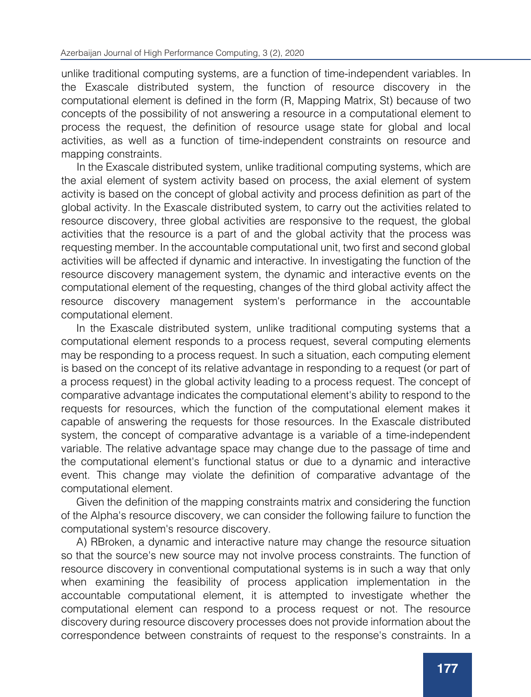unlike traditional computing systems, are a function of time-independent variables. In the Exascale distributed system, the function of resource discovery in the computational element is defined in the form (R, Mapping Matrix, St) because of two concepts of the possibility of not answering a resource in a computational element to process the request, the definition of resource usage state for global and local activities, as well as a function of time-independent constraints on resource and mapping constraints.

In the Exascale distributed system, unlike traditional computing systems, which are the axial element of system activity based on process, the axial element of system activity is based on the concept of global activity and process definition as part of the global activity. In the Exascale distributed system, to carry out the activities related to resource discovery, three global activities are responsive to the request, the global activities that the resource is a part of and the global activity that the process was requesting member. In the accountable computational unit, two first and second global activities will be affected if dynamic and interactive. In investigating the function of the resource discovery management system, the dynamic and interactive events on the computational element of the requesting, changes of the third global activity affect the resource discovery management system's performance in the accountable computational element.

In the Exascale distributed system, unlike traditional computing systems that a computational element responds to a process request, several computing elements may be responding to a process request. In such a situation, each computing element is based on the concept of its relative advantage in responding to a request (or part of a process request) in the global activity leading to a process request. The concept of comparative advantage indicates the computational element's ability to respond to the requests for resources, which the function of the computational element makes it capable of answering the requests for those resources. In the Exascale distributed system, the concept of comparative advantage is a variable of a time-independent variable. The relative advantage space may change due to the passage of time and the computational element's functional status or due to a dynamic and interactive event. This change may violate the definition of comparative advantage of the computational element.

Given the definition of the mapping constraints matrix and considering the function of the Alpha's resource discovery, we can consider the following failure to function the computational system's resource discovery.

A) RBroken, a dynamic and interactive nature may change the resource situation so that the source's new source may not involve process constraints. The function of resource discovery in conventional computational systems is in such a way that only when examining the feasibility of process application implementation in the accountable computational element, it is attempted to investigate whether the computational element can respond to a process request or not. The resource discovery during resource discovery processes does not provide information about the correspondence between constraints of request to the response's constraints. In a

dynamic and interactive event and changing the R descriptor's parameters, the

global activity, and how resource operation can affect the resource's parameters.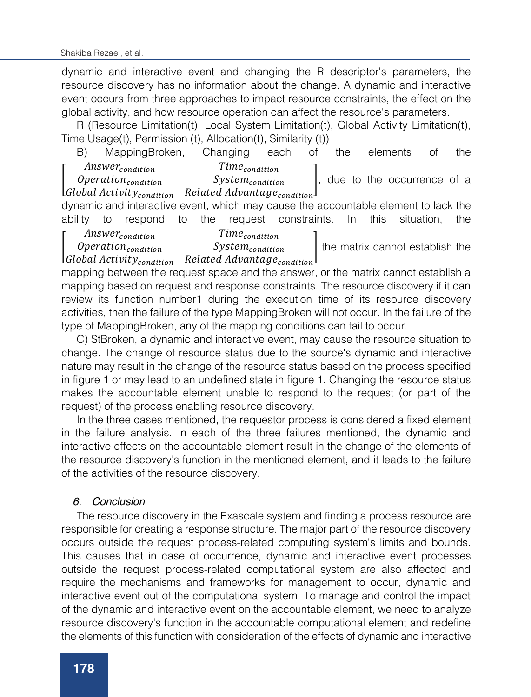dynamic and interactive event and changing the R descriptor's parameters, the resource discovery has no information about the change. A dynamic and interactive event occurs from three approaches to impact resource constraints, the effect on the global activity, and how resource operation can affect the resource's parameters.

R (Resource Limitation(t), Local System Limitation(t), Global Activity Limitation(t), Time Usage(t), Permission (t), Allocation(t), Similarity (t))

B) MappingBroken, Changing each of the elements of the Answercondition Timecondition

I  $Operation_{condition}$ Global Activity<sub>condition</sub> System<sub>condition</sub> Related Advantage<sub>condition</sub>. due to the occurrence of a

dynamic and interactive event, which may cause the accountable element to lack the ability to respond to the request constraints. In this situation, the

I Answer<sub>condition</sub> Time<sub>condition</sub>

 $Operation_{condition}$ Global Activity<sub>condition</sub>  $System_{condition}$ Related Advantage<sub>condition</sub> the matrix cannot establish the

mapping between the request space and the answer, or the matrix cannot establish a mapping based on request and response constraints. The resource discovery if it can review its function number1 during the execution time of its resource discovery activities, then the failure of the type MappingBroken will not occur. In the failure of the type of MappingBroken, any of the mapping conditions can fail to occur.

C) StBroken, a dynamic and interactive event, may cause the resource situation to change. The change of resource status due to the source's dynamic and interactive nature may result in the change of the resource status based on the process specified in figure 1 or may lead to an undefined state in figure 1. Changing the resource status makes the accountable element unable to respond to the request (or part of the request) of the process enabling resource discovery.

In the three cases mentioned, the requestor process is considered a fixed element in the failure analysis. In each of the three failures mentioned, the dynamic and interactive effects on the accountable element result in the change of the elements of the resource discovery's function in the mentioned element, and it leads to the failure of the activities of the resource discovery.

### *6. Conclusion*

The resource discovery in the Exascale system and finding a process resource are responsible for creating a response structure. The major part of the resource discovery occurs outside the request process-related computing system's limits and bounds. This causes that in case of occurrence, dynamic and interactive event processes outside the request process-related computational system are also affected and require the mechanisms and frameworks for management to occur, dynamic and interactive event out of the computational system. To manage and control the impact of the dynamic and interactive event on the accountable element, we need to analyze resource discovery's function in the accountable computational element and redefine the elements of this function with consideration of the effects of dynamic and interactive

effects. To make the dynamic and interactive event interactive event in the accountable event in the accountable

the resource discovery. This development of resource discovery in the responsive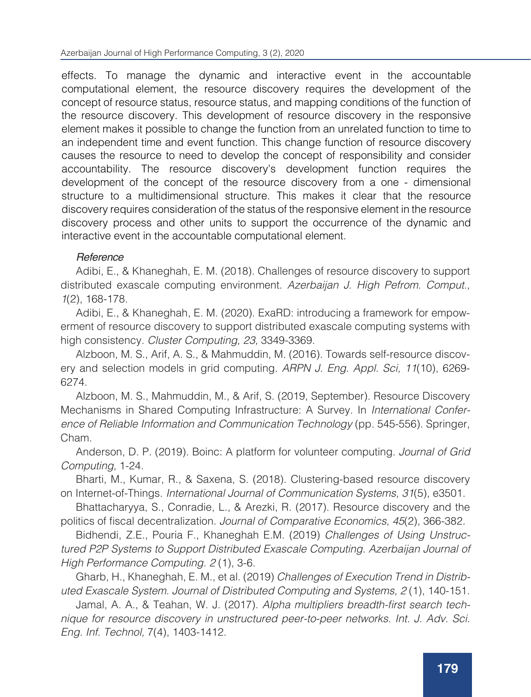effects. To manage the dynamic and interactive event in the accountable computational element, the resource discovery requires the development of the concept of resource status, resource status, and mapping conditions of the function of the resource discovery. This development of resource discovery in the responsive element makes it possible to change the function from an unrelated function to time to an independent time and event function. This change function of resource discovery causes the resource to need to develop the concept of responsibility and consider accountability. The resource discovery's development function requires the development of the concept of the resource discovery from a one - dimensional structure to a multidimensional structure. This makes it clear that the resource discovery requires consideration of the status of the responsive element in the resource discovery process and other units to support the occurrence of the dynamic and interactive event in the accountable computational element.

# *Reference*

Adibi, E., & Khaneghah, E. M. (2018). Challenges of resource discovery to support distributed exascale computing environment. *Azerbaijan J. High Pefrom. Comput., 1*(2), 168-178.

Adibi, E., & Khaneghah, E. M. (2020). ExaRD: introducing a framework for empowerment of resource discovery to support distributed exascale computing systems with high consistency. *Cluster Computing, 23,* 3349-3369.

Alzboon, M. S., Arif, A. S., & Mahmuddin, M. (2016). Towards self-resource discovery and selection models in grid computing. *ARPN J. Eng. Appl. Sci, 11*(10), 6269- 6274.

Alzboon, M. S., Mahmuddin, M., & Arif, S. (2019, September). Resource Discovery Mechanisms in Shared Computing Infrastructure: A Survey. In *International Conference of Reliable Information and Communication Technology* (pp. 545-556). Springer, Cham.

Anderson, D. P. (2019). Boinc: A platform for volunteer computing. *Journal of Grid Computing,* 1-24.

Bharti, M., Kumar, R., & Saxena, S. (2018). Clustering‐based resource discovery on Internet‐of‐Things. *International Journal of Communication Systems, 31*(5), e3501.

Bhattacharyya, S., Conradie, L., & Arezki, R. (2017). Resource discovery and the politics of fiscal decentralization. *Journal of Comparative Economics, 45*(2), 366-382.

Bidhendi, Z.E., Pouria F., Khaneghah E.M. (2019) *Challenges of Using Unstructured P2P Systems to Support Distributed Exascale Computing. Azerbaijan Journal of High Performance Computing. 2* (1), 3-6.

Gharb, H., Khaneghah, E. M., et al. (2019) *Challenges of Execution Trend in Distributed Exascale System. Journal of Distributed Computing and Systems, 2* (1), 140-151.

Jamal, A. A., & Teahan, W. J. (2017). Alpha multipliers breadth-first search tech*nique for resource discovery in unstructured peer-to-peer networks. Int. J. Adv. Sci. Eng. Inf. Technol,* 7(4), 1403-1412.